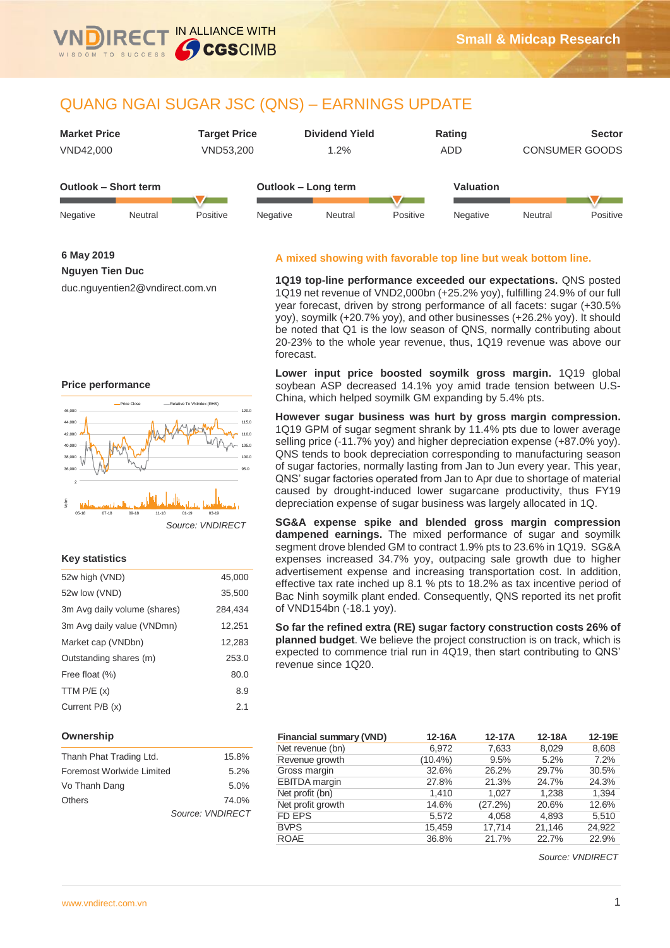

IN ALLIANCE WITH

**CGSCIMB** 

| <b>Market Price</b><br>VND42,000 |         | <b>Target Price</b><br>VND53,200 |          | <b>Dividend Yield</b><br>1.2% |          | Rating<br><b>ADD</b> | <b>CONSUMER GOODS</b> | <b>Sector</b> |
|----------------------------------|---------|----------------------------------|----------|-------------------------------|----------|----------------------|-----------------------|---------------|
| <b>Outlook - Short term</b>      |         |                                  |          | Outlook - Long term           |          | <b>Valuation</b>     |                       |               |
| Negative                         | Neutral | Positive                         | Negative | Neutral                       | Positive | Negative             | Neutral               | Positive      |

**6 May 2019**

**Nguyen Tien Duc**

duc.nguyentien2@vndirect.com.vn

#### 44,000 46,00 Price Close -- Relative To VNIndex (RHS)

**Price performance**



### **Key statistics**

| 52w high (VND)               | 45,000  |
|------------------------------|---------|
| 52w low (VND)                | 35,500  |
| 3m Avg daily volume (shares) | 284,434 |
| 3m Avg daily value (VNDmn)   | 12,251  |
| Market cap (VNDbn)           | 12,283  |
| Outstanding shares (m)       | 253.0   |
| Free float (%)               | 80.0    |
| TTM $P/E(x)$                 | 8.9     |
| Current P/B (x)              | 2.1     |

### **Ownership**

| Thanh Phat Trading Ltd.   | 15.8%            |
|---------------------------|------------------|
| Foremost Worlwide Limited | 5.2%             |
| Vo Thanh Dang             | 5.0%             |
| Others                    | 74.0%            |
|                           | Source: VNDIRECT |

# **A mixed showing with favorable top line but weak bottom line.**

**1Q19 top-line performance exceeded our expectations.** QNS posted 1Q19 net revenue of VND2,000bn (+25.2% yoy), fulfilling 24.9% of our full year forecast, driven by strong performance of all facets: sugar (+30.5% yoy), soymilk (+20.7% yoy), and other businesses (+26.2% yoy). It should be noted that Q1 is the low season of QNS, normally contributing about 20-23% to the whole year revenue, thus, 1Q19 revenue was above our forecast.

**Lower input price boosted soymilk gross margin.** 1Q19 global soybean ASP decreased 14.1% yoy amid trade tension between U.S-China, which helped soymilk GM expanding by 5.4% pts.

**However sugar business was hurt by gross margin compression.**  1Q19 GPM of sugar segment shrank by 11.4% pts due to lower average selling price (-11.7% yoy) and higher depreciation expense (+87.0% yoy). QNS tends to book depreciation corresponding to manufacturing season of sugar factories, normally lasting from Jan to Jun every year. This year, QNS' sugar factories operated from Jan to Apr due to shortage of material caused by drought-induced lower sugarcane productivity, thus FY19 depreciation expense of sugar business was largely allocated in 1Q.

**SG&A expense spike and blended gross margin compression dampened earnings.** The mixed performance of sugar and soymilk segment drove blended GM to contract 1.9% pts to 23.6% in 1Q19. SG&A expenses increased 34.7% yoy, outpacing sale growth due to higher advertisement expense and increasing transportation cost. In addition, effective tax rate inched up 8.1 % pts to 18.2% as tax incentive period of Bac Ninh soymilk plant ended. Consequently, QNS reported its net profit of VND154bn (-18.1 yoy).

**So far the refined extra (RE) sugar factory construction costs 26% of planned budget**. We believe the project construction is on track, which is expected to commence trial run in 4Q19, then start contributing to QNS' revenue since 1Q20.

| <b>Financial summary (VND)</b> | 12-16A     | 12-17A  | 12-18A | 12-19E |
|--------------------------------|------------|---------|--------|--------|
| Net revenue (bn)               | 6.972      | 7,633   | 8.029  | 8,608  |
| Revenue growth                 | $(10.4\%)$ | 9.5%    | 5.2%   | 7.2%   |
| Gross margin                   | 32.6%      | 26.2%   | 29.7%  | 30.5%  |
| <b>EBITDA</b> margin           | 27.8%      | 21.3%   | 24.7%  | 24.3%  |
| Net profit (bn)                | 1,410      | 1.027   | 1.238  | 1,394  |
| Net profit growth              | 14.6%      | (27.2%) | 20.6%  | 12.6%  |
| <b>FD EPS</b>                  | 5,572      | 4,058   | 4.893  | 5,510  |
| <b>BVPS</b>                    | 15,459     | 17.714  | 21,146 | 24,922 |
| <b>ROAE</b>                    | 36.8%      | 21.7%   | 22.7%  | 22.9%  |

*Source: VNDIRECT*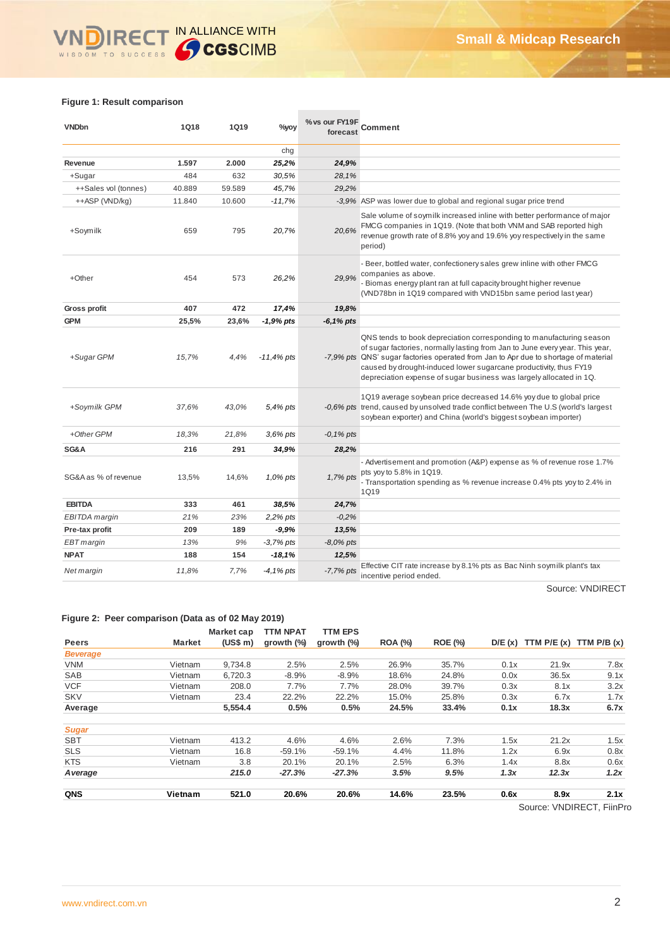# WINDIRECT IN ALLIANCE WITH

# **Figure 1: Result comparison**

| <b>VNDbn</b>         | 1Q18   | <b>1Q19</b> | %yoy         | % vs our FY19F<br>forecast | Comment                                                                                                                                                                                                                                                                                                                                                                                 |
|----------------------|--------|-------------|--------------|----------------------------|-----------------------------------------------------------------------------------------------------------------------------------------------------------------------------------------------------------------------------------------------------------------------------------------------------------------------------------------------------------------------------------------|
|                      |        |             | chg          |                            |                                                                                                                                                                                                                                                                                                                                                                                         |
| Revenue              | 1.597  | 2.000       | 25,2%        | 24,9%                      |                                                                                                                                                                                                                                                                                                                                                                                         |
| +Sugar               | 484    | 632         | 30,5%        | 28.1%                      |                                                                                                                                                                                                                                                                                                                                                                                         |
| ++Sales vol (tonnes) | 40.889 | 59.589      | 45,7%        | 29,2%                      |                                                                                                                                                                                                                                                                                                                                                                                         |
| ++ASP (VND/kg)       | 11.840 | 10.600      | $-11,7%$     |                            | -3,9% ASP was lower due to global and regional sugar price trend                                                                                                                                                                                                                                                                                                                        |
| +Soymilk             | 659    | 795         | 20,7%        | 20.6%                      | Sale volume of soymilk increased inline with better performance of major<br>FMCG companies in 1Q19. (Note that both VNM and SAB reported high<br>revenue growth rate of 8.8% yoy and 19.6% yoy respectively in the same<br>period)                                                                                                                                                      |
| +Other               | 454    | 573         | 26,2%        | 29,9%                      | - Beer, bottled water, confectionery sales grew inline with other FMCG<br>companies as above.<br>- Biomas energy plant ran at full capacity brought higher revenue<br>(VND78bn in 1Q19 compared with VND15bn same period last year)                                                                                                                                                     |
| Gross profit         | 407    | 472         | 17,4%        | 19,8%                      |                                                                                                                                                                                                                                                                                                                                                                                         |
| <b>GPM</b>           | 25,5%  | 23,6%       | -1,9% pts    | -6,1% pts                  |                                                                                                                                                                                                                                                                                                                                                                                         |
| +Sugar GPM           | 15,7%  | 4,4%        | $-11,4%$ pts |                            | QNS tends to book depreciation corresponding to manufacturing season<br>of sugar factories, normally lasting from Jan to June every year. This year,<br>-7,9% pts QNS' sugar factories operated from Jan to Apr due to shortage of material<br>caused by drought-induced lower sugarcane productivity, thus FY19<br>depreciation expense of sugar business was largely allocated in 1Q. |
| +Soymilk GPM         | 37.6%  | 43.0%       | 5,4% pts     |                            | 1Q19 average soybean price decreased 14.6% yoy due to global price<br>-0.6% pts trend, caused by unsolved trade conflict between The U.S (world's largest<br>soybean exporter) and China (world's biggest soybean importer)                                                                                                                                                             |
| +Other GPM           | 18,3%  | 21,8%       | $3,6\%$ pts  | $-0,1\%$ pts               |                                                                                                                                                                                                                                                                                                                                                                                         |
| SG&A                 | 216    | 291         | 34,9%        | 28,2%                      |                                                                                                                                                                                                                                                                                                                                                                                         |
| SG&A as % of revenue | 13,5%  | 14,6%       | 1,0% pts     | 1,7% pts                   | - Advertisement and promotion (A&P) expense as % of revenue rose 1.7%<br>pts yoy to 5.8% in 1Q19.<br>- Transportation spending as % revenue increase 0.4% pts yoy to 2.4% in<br><b>1Q19</b>                                                                                                                                                                                             |
| <b>EBITDA</b>        | 333    | 461         | 38,5%        | 24,7%                      |                                                                                                                                                                                                                                                                                                                                                                                         |
| EBITDA margin        | 21%    | 23%         | 2,2% pts     | $-0,2%$                    |                                                                                                                                                                                                                                                                                                                                                                                         |
| Pre-tax profit       | 209    | 189         | $-9.9%$      | 13,5%                      |                                                                                                                                                                                                                                                                                                                                                                                         |
| EBT margin           | 13%    | 9%          | -3,7% pts    | $-8,0\%$ pts               |                                                                                                                                                                                                                                                                                                                                                                                         |
| <b>NPAT</b>          | 188    | 154         | $-18,1%$     | 12,5%                      |                                                                                                                                                                                                                                                                                                                                                                                         |
| Net margin           | 11,8%  | 7,7%        | -4,1% pts    | $-7,7%$ pts                | Effective CIT rate increase by 8.1% pts as Bac Ninh soymilk plant's tax<br>incentive period ended.                                                                                                                                                                                                                                                                                      |

Source: VNDIRECT

#### **Figure 2: Peer comparison (Data as of 02 May 2019)**

|                 |               | Market cap | <b>TTM NPAT</b> | <b>TTM EPS</b> |                |                |        |              |                        |
|-----------------|---------------|------------|-----------------|----------------|----------------|----------------|--------|--------------|------------------------|
| <b>Peers</b>    | <b>Market</b> | (US\$ m)   | growth $(\%)$   | growth $(\%)$  | <b>ROA (%)</b> | <b>ROE (%)</b> | D/E(x) | TTM $P/E(x)$ | TTM $P/B(x)$           |
| <b>Beverage</b> |               |            |                 |                |                |                |        |              |                        |
| <b>VNM</b>      | Vietnam       | 9,734.8    | 2.5%            | 2.5%           | 26.9%          | 35.7%          | 0.1x   | 21.9x        | 7.8x                   |
| SAB             | Vietnam       | 6,720.3    | $-8.9%$         | $-8.9%$        | 18.6%          | 24.8%          | 0.0x   | 36.5x        | 9.1x                   |
| <b>VCF</b>      | Vietnam       | 208.0      | 7.7%            | 7.7%           | 28.0%          | 39.7%          | 0.3x   | 8.1x         | 3.2x                   |
| <b>SKV</b>      | Vietnam       | 23.4       | 22.2%           | 22.2%          | 15.0%          | 25.8%          | 0.3x   | 6.7x         | 1.7x                   |
| Average         |               | 5.554.4    | 0.5%            | 0.5%           | 24.5%          | 33.4%          | 0.1x   | 18.3x        | 6.7x                   |
| <b>Sugar</b>    |               |            |                 |                |                |                |        |              |                        |
| <b>SBT</b>      | Vietnam       | 413.2      | 4.6%            | 4.6%           | 2.6%           | 7.3%           | 1.5x   | 21.2x        | 1.5x                   |
| <b>SLS</b>      | Vietnam       | 16.8       | $-59.1%$        | $-59.1%$       | 4.4%           | 11.8%          | 1.2x   | 6.9x         | 0.8x                   |
| <b>KTS</b>      | Vietnam       | 3.8        | 20.1%           | 20.1%          | 2.5%           | 6.3%           | 1.4x   | 8.8x         | 0.6x                   |
| A verage        |               | 215.0      | $-27.3%$        | $-27.3%$       | 3.5%           | 9.5%           | 1.3x   | 12.3x        | 1.2x                   |
| QNS             | Vietnam       | 521.0      | 20.6%           | 20.6%          | 14.6%          | 23.5%          | 0.6x   | 8.9x         | 2.1x                   |
|                 |               |            |                 |                |                |                |        |              | Couron WIDIDECT EiinDr |

Source: VNDIRECT, FiinPro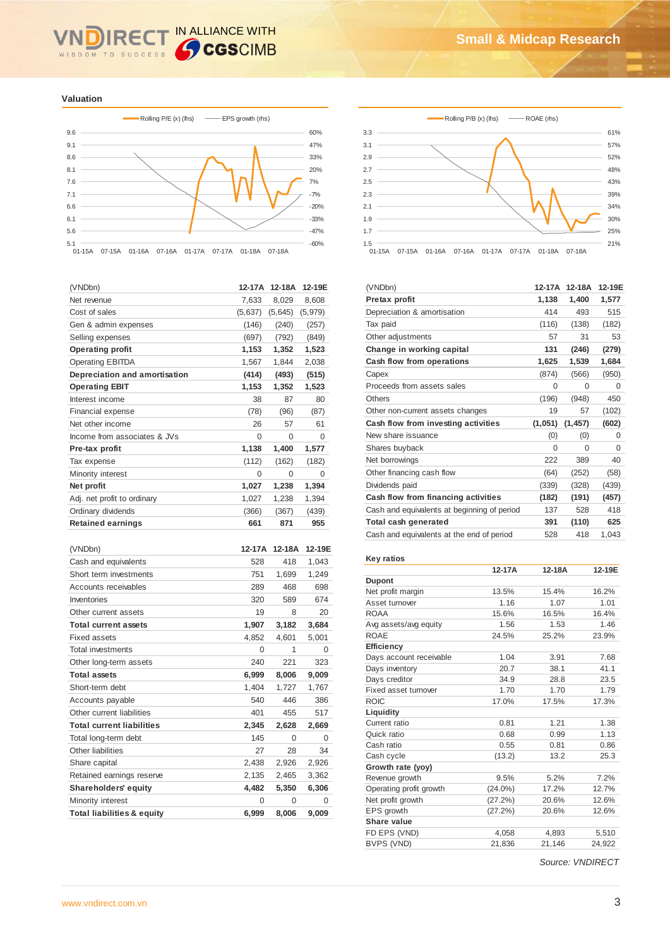#### IN ALLIANCE WITH **IRE** WISDOM TO SUCCESS

**Valuation**



| (VNDbn)                          | 12-17A  | 12-18A   | 12-19E   |
|----------------------------------|---------|----------|----------|
| Net revenue                      | 7,633   | 8,029    | 8,608    |
| Cost of sales                    | (5,637) | (5,645)  | (5,979)  |
| Gen & admin expenses             | (146)   | (240)    | (257)    |
| Selling expenses                 | (697)   | (792)    | (849)    |
| <b>Operating profit</b>          | 1,153   | 1,352    | 1,523    |
| <b>Operating EBITDA</b>          | 1,567   | 1,844    | 2,038    |
| Depreciation and amortisation    | (414)   | (493)    | (515)    |
| <b>Operating EBIT</b>            | 1,153   | 1,352    | 1,523    |
| Interest income                  | 38      | 87       | 80       |
| <b>Financial expense</b>         | (78)    | (96)     | (87)     |
| Net other income                 | 26      | 57       | 61       |
| Income from associates & JVs     | 0       | $\Omega$ | $\Omega$ |
| Pre-tax profit                   | 1,138   | 1,400    | 1,577    |
| Tax expense                      | (112)   | (162)    | (182)    |
| Minority interest                | 0       | 0        | 0        |
| Net profit                       | 1,027   | 1,238    | 1,394    |
| Adj. net profit to ordinary      | 1,027   | 1,238    | 1,394    |
| Ordinary dividends               | (366)   | (367)    | (439)    |
| <b>Retained earnings</b>         | 661     | 871      | 955      |
|                                  |         |          |          |
| (VNDbn)                          | 12-17A  | 12-18A   | 12-19E   |
| Cash and equivalents             | 528     | 418      | 1,043    |
| Short term investments           | 751     | 1,699    | 1,249    |
| <b>Accounts receivables</b>      | 289     | 468      | 698      |
| Inventories                      | 320     | 589      | 674      |
| Other current assets             | 19      | 8        | 20       |
| <b>Total current assets</b>      | 1,907   | 3,182    | 3,684    |
| <b>Fixed assets</b>              | 4,852   | 4,601    | 5,001    |
| Total investments                | 0       | 1        | 0        |
| Other long-term assets           | 240     | 221      | 323      |
| <b>Total assets</b>              | 6,999   | 8,006    | 9,009    |
| Short-term debt                  | 1,404   | 1,727    | 1,767    |
| Accounts payable                 | 540     | 446      | 386      |
| Other current liabilities        | 401     | 455      | 517      |
| <b>Total current liabilities</b> | 2,345   | 2,628    | 2,669    |
| Total long-term debt             | 145     | 0        | 0        |
| Other liabilities                | 27      | 28       | 34       |
| Share capital                    | 2,438   | 2,926    | 2,926    |
| Retained earnings reserve        | 2,135   | 2,465    | 3,362    |
| Shareholders' equity             | 4,482   | 5,350    | 6,306    |
| Minority interest                | 0       | 0        | 0        |
| Total liabilities & equity       | 6,999   | 8.006    | 9,009    |





| (VNDbn)                                     | 12-17A   | 12-18A   | 12-19E   |
|---------------------------------------------|----------|----------|----------|
| Pretax profit                               | 1,138    | 1,400    | 1,577    |
| Depreciation & amortisation                 | 414      | 493      | 515      |
| Tax paid                                    | (116)    | (138)    | (182)    |
| Other adjustments                           | 57       | 31       | 53       |
| Change in working capital                   | 131      | (246)    | (279)    |
| Cash flow from operations                   | 1,625    | 1,539    | 1,684    |
| Capex                                       | (874)    | (566)    | (950)    |
| Proceeds from assets sales                  | $\Omega$ | $\Omega$ | $\Omega$ |
| Others                                      | (196)    | (948)    | 450      |
| Other non-current assets changes            | 19       | 57       | (102)    |
| Cash flow from investing activities         | (1,051)  | (1, 457) | (602)    |
| New share issuance                          | (0)      | (0)      | $\Omega$ |
| Shares buyback                              | $\Omega$ | $\Omega$ | $\Omega$ |
| Net borrowings                              | 222      | 389      | 40       |
| Other financing cash flow                   | (64)     | (252)    | (58)     |
| Dividends paid                              | (339)    | (328)    | (439)    |
| Cash flow from financing activities         | (182)    | (191)    | (457)    |
| Cash and equivalents at beginning of period | 137      | 528      | 418      |
| Total cash generated                        | 391      | (110)    | 625      |
| Cash and equivalents at the end of period   | 528      | 418      | 1,043    |

#### **Key ratios**

|                         | 12-17A     | 12-18A | 12-19E |
|-------------------------|------------|--------|--------|
| <b>Dupont</b>           |            |        |        |
| Net profit margin       | 13.5%      | 15.4%  | 16.2%  |
| Asset turnover          | 1.16       | 1.07   | 1.01   |
| <b>ROAA</b>             | 15.6%      | 16.5%  | 16.4%  |
| Avg assets/avg equity   | 1.56       | 1.53   | 1.46   |
| <b>ROAE</b>             | 24.5%      | 25.2%  | 23.9%  |
| <b>Efficiency</b>       |            |        |        |
| Days account receivable | 1.04       | 3.91   | 7.68   |
| Days inventory          | 20.7       | 38.1   | 41.1   |
| Days creditor           | 34.9       | 28.8   | 23.5   |
| Fixed asset turnover    | 1.70       | 1.70   | 1.79   |
| <b>ROIC</b>             | 17.0%      | 17.5%  | 17.3%  |
| Liquidity               |            |        |        |
| Current ratio           | 0.81       | 1.21   | 1.38   |
| Quick ratio             | 0.68       | 0.99   | 1.13   |
| Cash ratio              | 0.55       | 0.81   | 0.86   |
| Cash cycle              | (13.2)     | 13.2   | 25.3   |
| Growth rate (yoy)       |            |        |        |
| Revenue growth          | 9.5%       | 5.2%   | 7.2%   |
| Operating profit growth | $(24.0\%)$ | 17.2%  | 12.7%  |
| Net profit growth       | (27.2%)    | 20.6%  | 12.6%  |
| EPS growth              | (27.2%)    | 20.6%  | 12.6%  |
| Share value             |            |        |        |
| FD EPS (VND)            | 4,058      | 4,893  | 5,510  |
| BVPS (VND)              | 21.836     | 21.146 | 24.922 |

*Source: VNDIRECT*